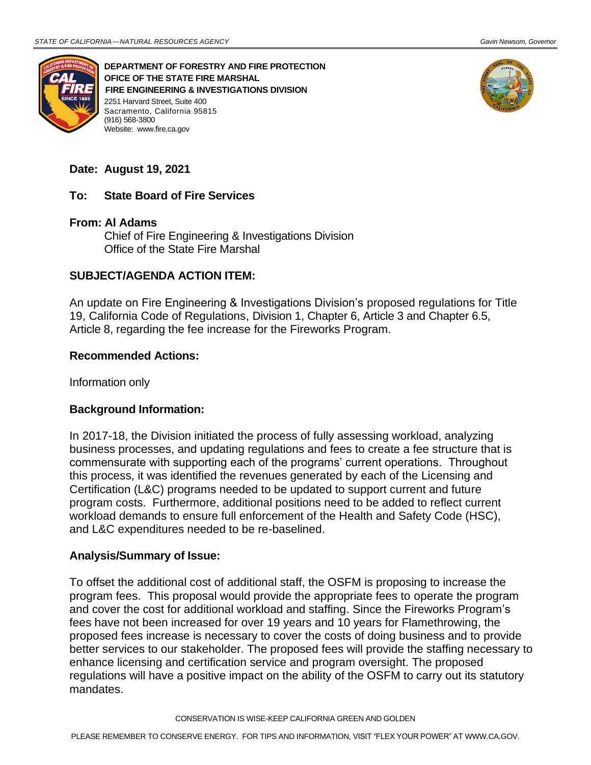

**DEPARTMENT OF FORESTRY AND FIRE PROTECTION OFICE OF THE STATE FIRE MARSHAL FIRE ENGINEERING & INVESTIGATIONS DIVISION** 2251 Harvard Street, Suite 400 Sacramento, California 95815 (916) 568-3800 Website: [www.fire.ca.gov](http://www.fire.ca.gov/)



# **Date: August 19, 2021**

## **To: State Board of Fire Services**

#### **From: Al Adams**

Chief of Fire Engineering & Investigations Division Office of the State Fire Marshal

#### **SUBJECT/AGENDA ACTION ITEM:**

An update on Fire Engineering & Investigations Division's proposed regulations for Title 19, California Code of Regulations, Division 1, Chapter 6, Article 3 and Chapter 6.5, Article 8, regarding the fee increase for the Fireworks Program.

#### **Recommended Actions:**

Information only

## **Background Information:**

In 2017-18, the Division initiated the process of fully assessing workload, analyzing business processes, and updating regulations and fees to create a fee structure that is commensurate with supporting each of the programs' current operations. Throughout this process, it was identified the revenues generated by each of the Licensing and Certification (L&C) programs needed to be updated to support current and future program costs. Furthermore, additional positions need to be added to reflect current workload demands to ensure full enforcement of the Health and Safety Code (HSC), and L&C expenditures needed to be re-baselined.

#### **Analysis/Summary of Issue:**

To offset the additional cost of additional staff, the OSFM is proposing to increase the program fees. This proposal would provide the appropriate fees to operate the program and cover the cost for additional workload and staffing. Since the Fireworks Program's fees have not been increased for over 19 years and 10 years for Flamethrowing, the proposed fees increase is necessary to cover the costs of doing business and to provide better services to our stakeholder. The proposed fees will provide the staffing necessary to enhance licensing and certification service and program oversight. The proposed regulations will have a positive impact on the ability of the OSFM to carry out its statutory mandates.